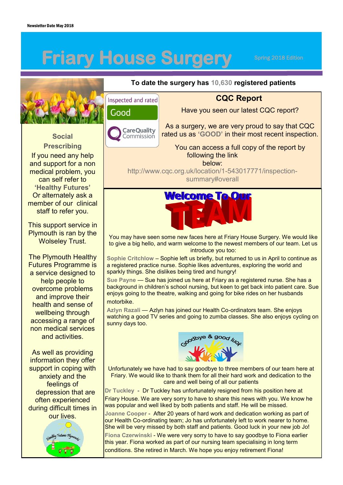# **Friary House Surgery**

Spring 2018 Edition



**Social** 

**Prescribing** If you need any help and support for a non medical problem, you can self refer to **'Healthy Futures'** Or alternately ask a member of our clinical staff to refer you.

This support service in Plymouth is ran by the Wolseley Trust.

The Plymouth Healthy Futures Programme is a service designed to help people to overcome problems and improve their health and sense of wellbeing through accessing a range of non medical services and activities.

As well as providing information they offer support in coping with anxiety and the feelings of depression that are often experienced during difficult times in our lives.



### **To date the surgery has 10,630 registered patients**

Inspected and rated

#### Good



## **CQC Report** Have you seen our latest CQC report?

As a surgery, we are very proud to say that CQC rated us as **'GOOD'** in their most recent inspection.

You can access a full copy of the report by following the link

below:

http://www.cqc.org.uk/location/1-543017771/inspectionsummary#overall



You may have seen some new faces here at Friary House Surgery. We would like to give a big hello, and warm welcome to the newest members of our team. Let us introduce you too:

**Sophie Critchlow** – Sophie left us briefly, but returned to us in April to continue as a registered practice nurse. Sophie likes adventures, exploring the world and sparkly things. She dislikes being tired and hungry!

**Sue Payne** — Sue has joined us here at Friary as a registered nurse. She has a background in children's school nursing, but keen to get back into patient care. Sue enjoys going to the theatre, walking and going for bike rides on her husbands motorbike.

**Azlyn Razali** — Azlyn has joined our Health Co-ordinators team. She enjoys watching a good TV series and going to zumba classes. She also enjoys cycling on sunny days too.



Unfortunately we have had to say goodbye to three members of our team here at Friary. We would like to thank them for all their hard work and dedication to the care and well being of all our patients

**Dr Tuckley** - Dr Tuckley has unfortunately resigned from his position here at Friary House. We are very sorry to have to share this news with you. We know he was popular and well liked by both patients and staff. He will be missed.

**Joanne Cooper** - After 20 years of hard work and dedication working as part of our Health Co-ordinating team; Jo has unfortunately left to work nearer to home. She will be very missed by both staff and patients. Good luck in your new job Jo!

**Fiona Czerwinski** - We were very sorry to have to say goodbye to Fiona earlier this year. Fiona worked as part of our nursing team specialising in long term conditions. She retired in March. We hope you enjoy retirement Fiona!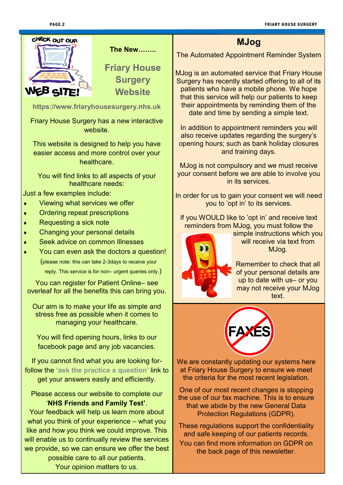#### PAGE 2 FRIARY HOUSE SURGERY HOUSE SURGERY



**The New……..**

**Friary House Surgery Website** 

**https://www.friaryhousesurgery.nhs.uk**

Friary House Surgery has a new interactive website.

This website is designed to help you have easier access and more control over your healthcare.

You will find links to all aspects of your healthcare needs:

Just a few examples include:

- Viewing what services we offer
- Ordering repeat prescriptions
- Requesting a sick note
- Changing your personal details
- Seek advice on common Illnesses
- You can even ask the doctors a question!

 (please note: this can take 2-3days to receive your reply. This service is for non– urgent queries only.)

You can register for Patient Online– see overleaf for all the benefits this can bring you.

Our aim is to make your life as simple and stress free as possible when it comes to managing your healthcare.

You will find opening hours, links to our facebook page and any job vacancies.

If you cannot find what you are looking forfollow the **'ask the practice a question'** link to get your answers easily and efficiently.

Please access our website to complete our '**NHS Friends and Family Test'**.

Your feedback will help us learn more about what you think of your experience – what you like and how you think we could improve. This will enable us to continually review the services we provide, so we can ensure we offer the best

> possible care to all our patients. Your opinion matters to us.

**MJog**

The Automated Appointment Reminder System

MJog is an automated service that Friary House Surgery has recently started offering to all of its patients who have a mobile phone. We hope that this service will help our patients to keep their appointments by reminding them of the date and time by sending a simple text.

In addition to appointment reminders you will also receive updates regarding the surgery's opening hours; such as bank holiday closures and training days.

MJog is not compulsory and we must receive your consent before we are able to involve you in its services.

In order for us to gain your consent we will need you to 'opt in' to its services.

If you WOULD like to 'opt in' and receive text reminders from MJog, you must follow the



simple instructions which you will receive via text from MJog.

Remember to check that all of your personal details are up to date with us– or you may not receive your MJog text.



We are constantly updating our systems here at Friary House Surgery to ensure we meet the criteria for the most recent legislation.

One of our most recent changes is stopping the use of our fax machine. This is to ensure that we abide by the new General Data Protection Regulations (GDPR).

These regulations support the confidentiality and safe keeping of our patients records. You can find more information on GDPR on the back page of this newsletter.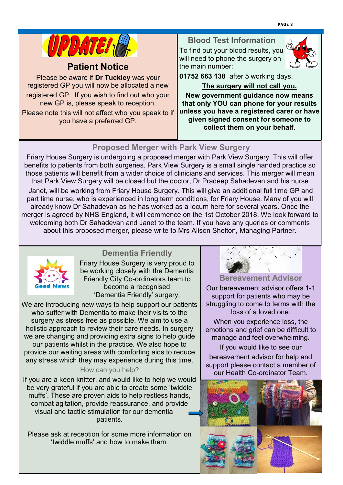

## **Patient Notice**

Please be aware if **Dr Tuckley** was your registered GP you will now be allocated a new registered GP. If you wish to find out who your new GP is, please speak to reception.

Please note this will not affect who you speak to if you have a preferred GP.

#### **Blood Test Information** To find out your blood results, you will need to phone the surgery on the main number:



**01752 663 138** after 5 working days.

**The surgery will not call you. New government guidance now means that only YOU can phone for your results unless you have a registered carer or have given signed consent for someone to collect them on your behalf.**

## **Proposed Merger with Park View Surgery**

Friary House Surgery is undergoing a proposed merger with Park View Surgery. [This wil](http://www.google.co.uk/url?sa=i&rct=j&q=&esrc=s&source=images&cd=&cad=rja&uact=8&ved=0ahUKEwifvsLEvp7TAhWEaxQKHYuAC2wQjRwIBw&url=http%3A%2F%2Fwww.chancellorhousesurgery.co.uk%2Finfo.aspx%3Fp%3D2&psig=AFQjCNGVLMGFTDIIf8pTvDjL5BkoXxUIbg&ust=14920717352113)l offer benefits to patients from both surgeries. Park View Surgery is a small single handed practice so those patients will benefit from a wider choice of clinicians and services. This merger will mean that Park View Surgery will be closed but the doctor, Dr Pradeep Sahadevan and his nurse Janet, will be working from Friary House Surgery. This will give an additional full time GP and part time nurse, who is experienced in long term conditions, for Friary House. Many of you will already know Dr Sahadevan as he has worked as a locum here for several years. Once the merger is agreed by NHS England, it will commence on the 1st October 2018. We look forward to welcoming both Dr Sahadevan and Janet to the team. If you have any queries or comments about this proposed merger, please write to Mrs Alison Shelton, Managing Partner.



## **Dementia Friendly**

Friary House Surgery is very proud to be working closely with the Dementia Friendly City Co-ordinators team to become a recognised 'Dementia Friendly' surgery.

We are introducing new ways to help support our patients who suffer with Dementia to make their visits to the surgery as stress free as possible. We aim to use a holistic approach to review their care needs. In surgery we are changing and providing extra signs to help guide our patients whilst in the practice. We also hope to provide our waiting areas with comforting aids to reduce any stress which they may experience during this time.

#### How can you help?

If you are a keen knitter, and would like to help we would be very grateful if you are able to create some 'twiddle muffs'. These are proven aids to help restless hands, combat agitation, provide reassurance, and provide visual and tactile stimulation for our dementia patients.

Please ask at reception for some more information on 'twiddle muffs' and how to make them.



## **Bereavement Advisor**

Our bereavement advisor offers 1-1 support for patients who may be struggling to come to terms with the loss of a loved one.

When you experience loss, the emotions and grief can be difficult to manage and feel overwhelming.

If you would like to see our bereavement advisor for help and support please contact a member of our Health Co-ordinator Team.